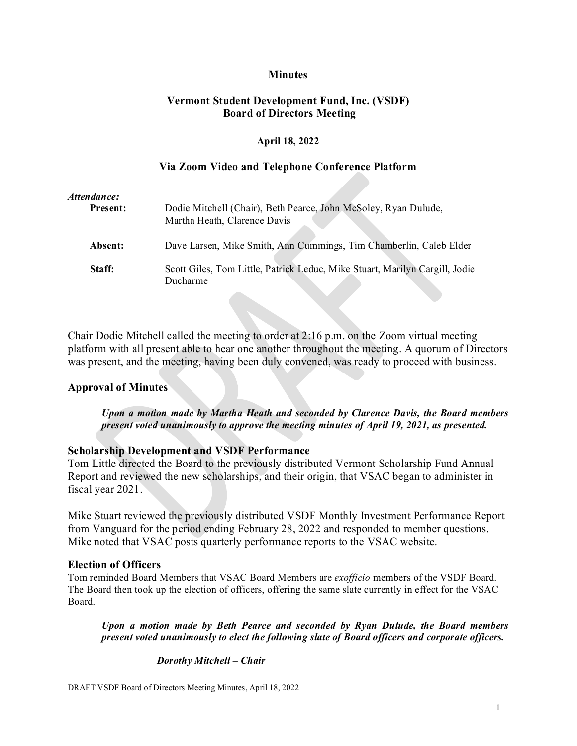# **Minutes**

# **Vermont Student Development Fund, Inc. (VSDF) Board of Directors Meeting**

#### **April 18, 2022**

#### **Via Zoom Video and Telephone Conference Platform**

| Attendance:     |                                                                                         |
|-----------------|-----------------------------------------------------------------------------------------|
| <b>Present:</b> | Dodie Mitchell (Chair), Beth Pearce, John McSoley, Ryan Dulude,                         |
|                 | Martha Heath, Clarence Davis                                                            |
| Absent:         | Dave Larsen, Mike Smith, Ann Cummings, Tim Chamberlin, Caleb Elder                      |
| Staff:          | Scott Giles, Tom Little, Patrick Leduc, Mike Stuart, Marilyn Cargill, Jodie<br>Ducharme |
|                 |                                                                                         |

Chair Dodie Mitchell called the meeting to order at 2:16 p.m. on the Zoom virtual meeting platform with all present able to hear one another throughout the meeting. A quorum of Directors was present, and the meeting, having been duly convened, was ready to proceed with business.

### **Approval of Minutes**

*Upon a motion made by Martha Heath and seconded by Clarence Davis, the Board members present voted unanimously to approve the meeting minutes of April 19, 2021, as presented.*

### **Scholarship Development and VSDF Performance**

Tom Little directed the Board to the previously distributed Vermont Scholarship Fund Annual Report and reviewed the new scholarships, and their origin, that VSAC began to administer in fiscal year 2021.

Mike Stuart reviewed the previously distributed VSDF Monthly Investment Performance Report from Vanguard for the period ending February 28, 2022 and responded to member questions. Mike noted that VSAC posts quarterly performance reports to the VSAC website.

#### **Election of Officers**

Tom reminded Board Members that VSAC Board Members are *exofficio* members of the VSDF Board. The Board then took up the election of officers, offering the same slate currently in effect for the VSAC Board.

*Upon a motion made by Beth Pearce and seconded by Ryan Dulude, the Board members present voted unanimously to elect the following slate of Board officers and corporate officers.*

#### *Dorothy Mitchell – Chair*

DRAFT VSDF Board of Directors Meeting Minutes, April 18, 2022